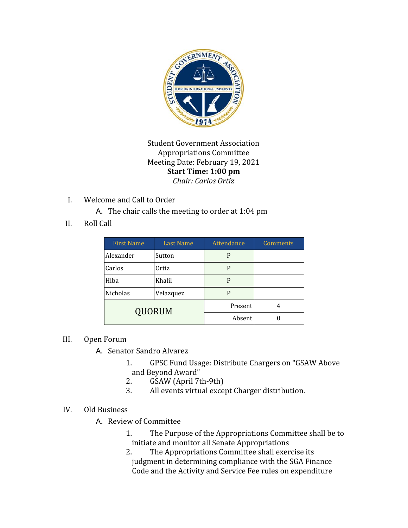

Student Government Association Appropriations Committee Meeting Date: February 19, 2021 **Start Time: 1:00 pm** *Chair: Carlos Ortiz*

I. Welcome and Call to Order

A. The chair calls the meeting to order at 1:04 pm

II. Roll Call

| <b>First Name</b> | <b>Last Name</b> | Attendance | Comments |
|-------------------|------------------|------------|----------|
| Alexander         | Sutton           | P          |          |
| Carlos            | Ortiz            | P          |          |
| Hiba              | Khalil           | P          |          |
| Nicholas          | Velazquez        | P          |          |
| <b>QUORUM</b>     |                  | Present    | 4        |
|                   |                  | Absent     |          |

## III. Open Forum

- A. Senator Sandro Alvarez
	- 1. GPSC Fund Usage: Distribute Chargers on "GSAW Above and Beyond Award"
	- 2. GSAW (April 7th-9th)
	- 3. All events virtual except Charger distribution.
- IV. Old Business
	- A. Review of Committee
		- 1. The Purpose of the Appropriations Committee shall be to initiate and monitor all Senate Appropriations
		- 2. The Appropriations Committee shall exercise its judgment in determining compliance with the SGA Finance Code and the Activity and Service Fee rules on expenditure